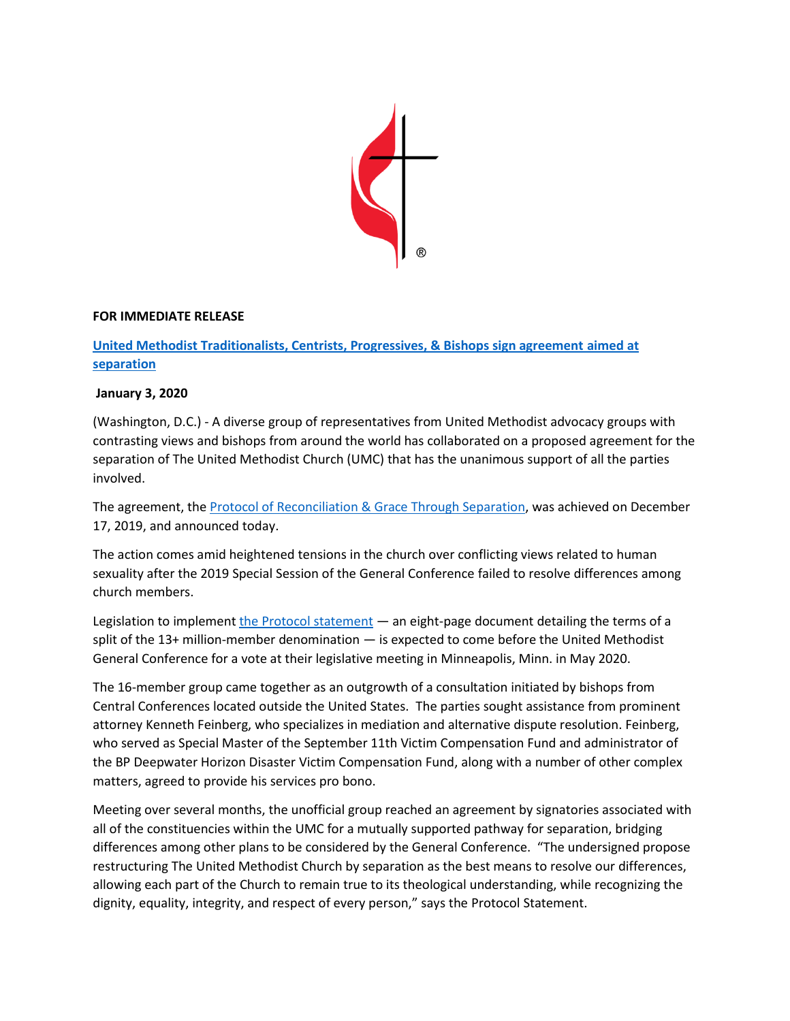

## **FOR IMMEDIATE RELEASE**

## **[United Methodist Traditionalists, Centrists, Progressives, & Bishops sign agreement aimed at](https://www.unitedmethodistbishops.org/newsdetail/united-methodist-traditionalists-centrists-progressives-bishops-sign-agreement-aimed-at-separation-13133654)  [separation](https://www.unitedmethodistbishops.org/newsdetail/united-methodist-traditionalists-centrists-progressives-bishops-sign-agreement-aimed-at-separation-13133654)**

## **January 3, 2020**

(Washington, D.C.) - A diverse group of representatives from United Methodist advocacy groups with contrasting views and bishops from around the world has collaborated on a proposed agreement for the separation of The United Methodist Church (UMC) that has the unanimous support of all the parties involved.

The agreement, th[e Protocol of Reconciliation & Grace Through Separation,](https://www.unitedmethodistbishops.org/files/websites/www/pdfs/signed+umc+mediation+protocoal+statement+-2020.pdf) was achieved on December 17, 2019, and announced today.

The action comes amid heightened tensions in the church over conflicting views related to human sexuality after the 2019 Special Session of the General Conference failed to resolve differences among church members.

Legislation to implemen[t the Protocol statement](https://www.unitedmethodistbishops.org/files/websites/www/pdfs/signed+umc+mediation+protocoal+statement+-2020.pdf) — an eight-page document detailing the terms of a split of the 13+ million-member denomination — is expected to come before the United Methodist General Conference for a vote at their legislative meeting in Minneapolis, Minn. in May 2020.

The 16-member group came together as an outgrowth of a consultation initiated by bishops from Central Conferences located outside the United States. The parties sought assistance from prominent attorney Kenneth Feinberg, who specializes in mediation and alternative dispute resolution. Feinberg, who served as Special Master of the September 11th Victim Compensation Fund and administrator of the BP Deepwater Horizon Disaster Victim Compensation Fund, along with a number of other complex matters, agreed to provide his services pro bono.

Meeting over several months, the unofficial group reached an agreement by signatories associated with all of the constituencies within the UMC for a mutually supported pathway for separation, bridging differences among other plans to be considered by the General Conference. "The undersigned propose restructuring The United Methodist Church by separation as the best means to resolve our differences, allowing each part of the Church to remain true to its theological understanding, while recognizing the dignity, equality, integrity, and respect of every person," says the Protocol Statement.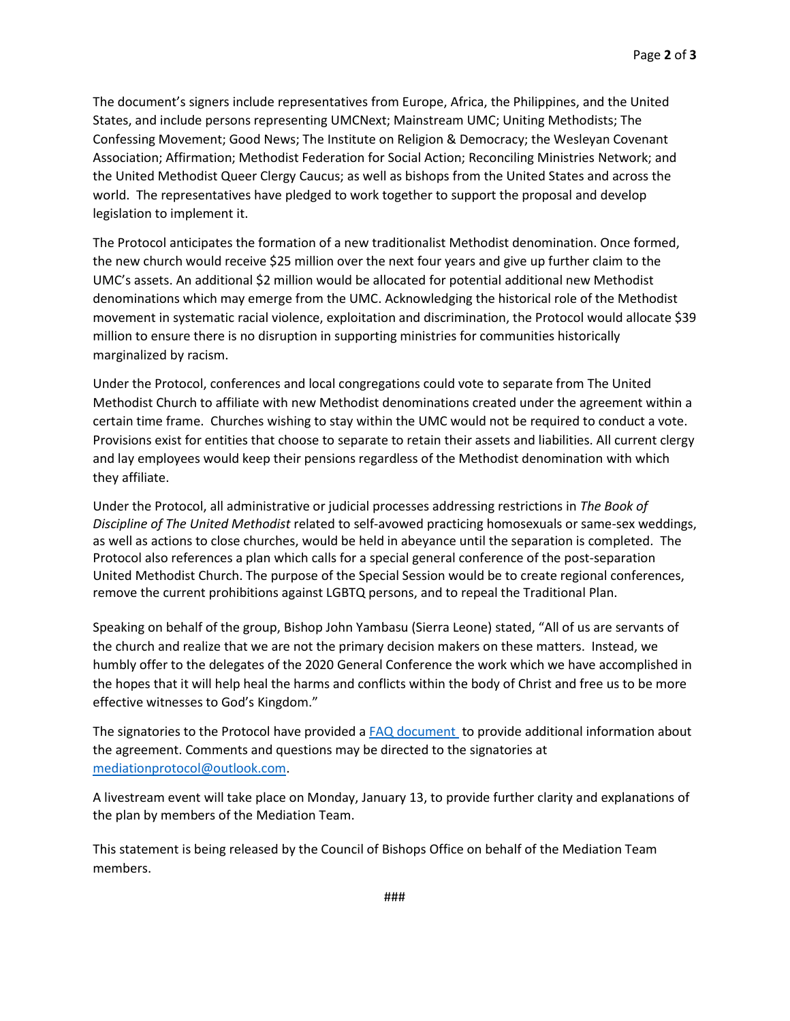The document's signers include representatives from Europe, Africa, the Philippines, and the United States, and include persons representing UMCNext; Mainstream UMC; Uniting Methodists; The Confessing Movement; Good News; The Institute on Religion & Democracy; the Wesleyan Covenant Association; Affirmation; Methodist Federation for Social Action; Reconciling Ministries Network; and the United Methodist Queer Clergy Caucus; as well as bishops from the United States and across the world. The representatives have pledged to work together to support the proposal and develop legislation to implement it.

The Protocol anticipates the formation of a new traditionalist Methodist denomination. Once formed, the new church would receive \$25 million over the next four years and give up further claim to the UMC's assets. An additional \$2 million would be allocated for potential additional new Methodist denominations which may emerge from the UMC. Acknowledging the historical role of the Methodist movement in systematic racial violence, exploitation and discrimination, the Protocol would allocate \$39 million to ensure there is no disruption in supporting ministries for communities historically marginalized by racism.

Under the Protocol, conferences and local congregations could vote to separate from The United Methodist Church to affiliate with new Methodist denominations created under the agreement within a certain time frame. Churches wishing to stay within the UMC would not be required to conduct a vote. Provisions exist for entities that choose to separate to retain their assets and liabilities. All current clergy and lay employees would keep their pensions regardless of the Methodist denomination with which they affiliate.

Under the Protocol, all administrative or judicial processes addressing restrictions in *The Book of Discipline of The United Methodist* related to self-avowed practicing homosexuals or same-sex weddings, as well as actions to close churches, would be held in abeyance until the separation is completed. The Protocol also references a plan which calls for a special general conference of the post-separation United Methodist Church. The purpose of the Special Session would be to create regional conferences, remove the current prohibitions against LGBTQ persons, and to repeal the Traditional Plan.

Speaking on behalf of the group, Bishop John Yambasu (Sierra Leone) stated, "All of us are servants of the church and realize that we are not the primary decision makers on these matters. Instead, we humbly offer to the delegates of the 2020 General Conference the work which we have accomplished in the hopes that it will help heal the harms and conflicts within the body of Christ and free us to be more effective witnesses to God's Kingdom."

The signatories to the Protocol have provided a [FAQ document](https://www.unitedmethodistbishops.org/newsdetail/frequently-asked-questions-about-the-united-methodist-mediation-team-13133711) to provide additional information about the agreement. Comments and questions may be directed to the signatories at [mediationprotocol@outlook.com.](mailto:mediationprotocol@outlook.com)

A livestream event will take place on Monday, January 13, to provide further clarity and explanations of the plan by members of the Mediation Team.

This statement is being released by the Council of Bishops Office on behalf of the Mediation Team members.